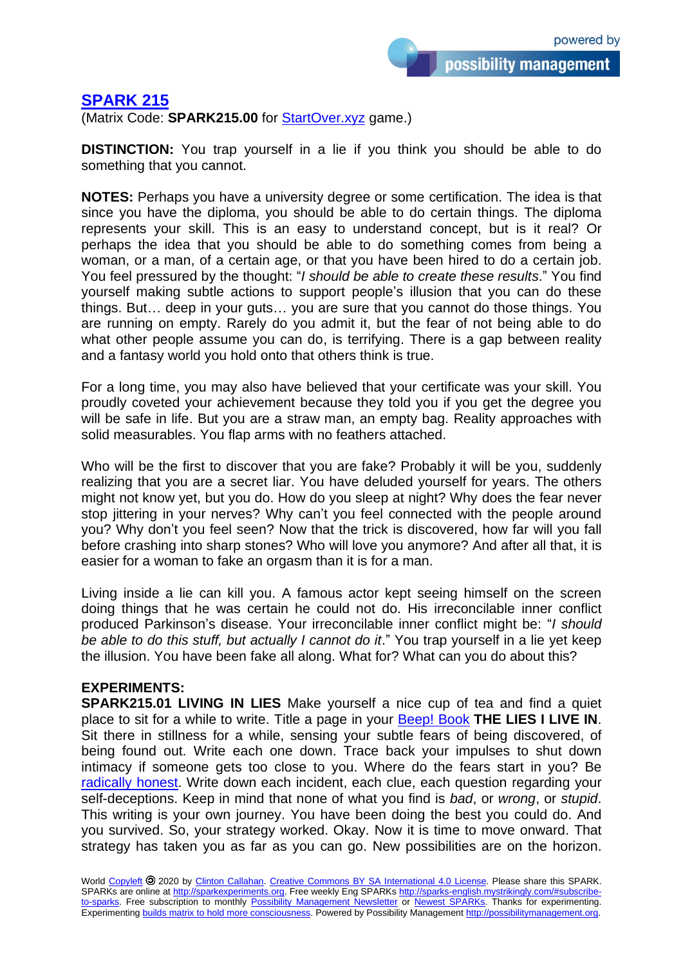possibility management

## **[SPARK 215](http://sparks-english.mystrikingly.com/)**

(Matrix Code: **SPARK215.00** for [StartOver.xyz](http://startoverxyz.mystrikingly.com/) game.)

**DISTINCTION:** You trap yourself in a lie if you think you should be able to do something that you cannot.

**NOTES:** Perhaps you have a university degree or some certification. The idea is that since you have the diploma, you should be able to do certain things. The diploma represents your skill. This is an easy to understand concept, but is it real? Or perhaps the idea that you should be able to do something comes from being a woman, or a man, of a certain age, or that you have been hired to do a certain job. You feel pressured by the thought: "*I should be able to create these results*." You find yourself making subtle actions to support people's illusion that you can do these things. But… deep in your guts… you are sure that you cannot do those things. You are running on empty. Rarely do you admit it, but the fear of not being able to do what other people assume you can do, is terrifying. There is a gap between reality and a fantasy world you hold onto that others think is true.

For a long time, you may also have believed that your certificate was your skill. You proudly coveted your achievement because they told you if you get the degree you will be safe in life. But you are a straw man, an empty bag. Reality approaches with solid measurables. You flap arms with no feathers attached.

Who will be the first to discover that you are fake? Probably it will be you, suddenly realizing that you are a secret liar. You have deluded yourself for years. The others might not know yet, but you do. How do you sleep at night? Why does the fear never stop jittering in your nerves? Why can't you feel connected with the people around you? Why don't you feel seen? Now that the trick is discovered, how far will you fall before crashing into sharp stones? Who will love you anymore? And after all that, it is easier for a woman to fake an orgasm than it is for a man.

Living inside a lie can kill you. A famous actor kept seeing himself on the screen doing things that he was certain he could not do. His irreconcilable inner conflict produced Parkinson's disease. Your irreconcilable inner conflict might be: "*I should be able to do this stuff, but actually I cannot do it*." You trap yourself in a lie yet keep the illusion. You have been fake all along. What for? What can you do about this?

## **EXPERIMENTS:**

**SPARK215.01 LIVING IN LIES** Make yourself a nice cup of tea and find a quiet place to sit for a while to write. Title a page in your **[Beep!](http://beepbook.mystrikingly.com/) Book THE LIES I LIVE IN**. Sit there in stillness for a while, sensing your subtle fears of being discovered, of being found out. Write each one down. Trace back your impulses to shut down intimacy if someone gets too close to you. Where do the fears start in you? Be [radically honest.](http://radicalhonesty.mystrikingly.com/) Write down each incident, each clue, each question regarding your self-deceptions. Keep in mind that none of what you find is *bad*, or *wrong*, or *stupid*. This writing is your own journey. You have been doing the best you could do. And you survived. So, your strategy worked. Okay. Now it is time to move onward. That strategy has taken you as far as you can go. New possibilities are on the horizon.